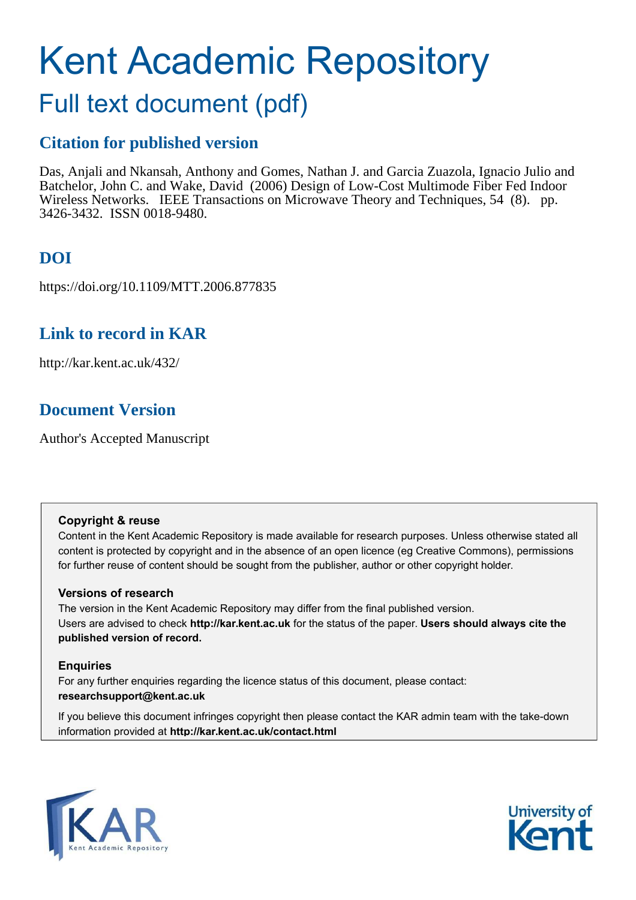# Kent Academic Repository

# Full text document (pdf)

# **Citation for published version**

Das, Anjali and Nkansah, Anthony and Gomes, Nathan J. and Garcia Zuazola, Ignacio Julio and Batchelor, John C. and Wake, David (2006) Design of Low-Cost Multimode Fiber Fed Indoor Wireless Networks. IEEE Transactions on Microwave Theory and Techniques, 54 (8). pp. 3426-3432. ISSN 0018-9480.

# **DOI**

https://doi.org/10.1109/MTT.2006.877835

# **Link to record in KAR**

http://kar.kent.ac.uk/432/

# **Document Version**

Author's Accepted Manuscript

# **Copyright & reuse**

Content in the Kent Academic Repository is made available for research purposes. Unless otherwise stated all content is protected by copyright and in the absence of an open licence (eg Creative Commons), permissions for further reuse of content should be sought from the publisher, author or other copyright holder.

# **Versions of research**

The version in the Kent Academic Repository may differ from the final published version. Users are advised to check **http://kar.kent.ac.uk** for the status of the paper. **Users should always cite the published version of record.**

# **Enquiries**

For any further enquiries regarding the licence status of this document, please contact: **researchsupport@kent.ac.uk**

If you believe this document infringes copyright then please contact the KAR admin team with the take-down information provided at **http://kar.kent.ac.uk/contact.html**



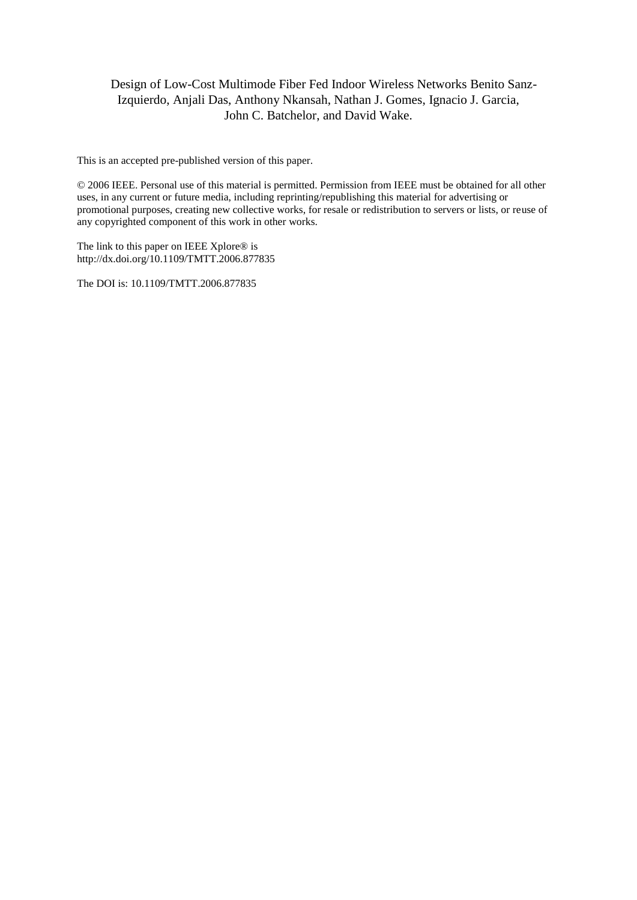# Design of Low-Cost Multimode Fiber Fed Indoor Wireless Networks Benito Sanz-Izquierdo, Anjali Das, Anthony Nkansah, Nathan J. Gomes, Ignacio J. Garcia, John C. Batchelor, and David Wake.

This is an accepted pre-published version of this paper.

© 2006 IEEE. Personal use of this material is permitted. Permission from IEEE must be obtained for all other uses, in any current or future media, including reprinting/republishing this material for advertising or promotional purposes, creating new collective works, for resale or redistribution to servers or lists, or reuse of any copyrighted component of this work in other works.

The link to this paper on IEEE Xplore® is http://dx.doi.org/10.1109/TMTT.2006.877835

The DOI is: 10.1109/TMTT.2006.877835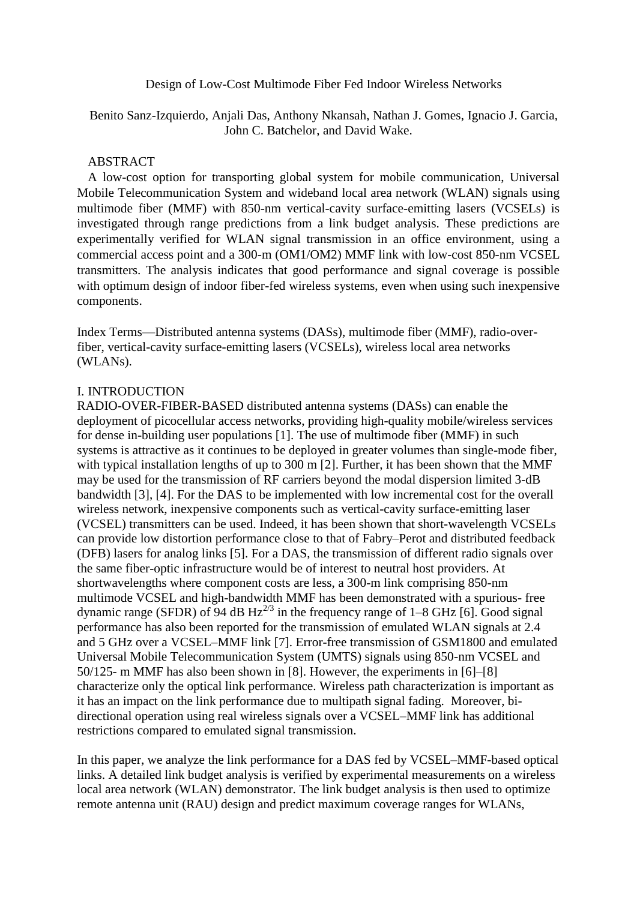Design of Low-Cost Multimode Fiber Fed Indoor Wireless Networks

Benito Sanz-Izquierdo, Anjali Das, Anthony Nkansah, Nathan J. Gomes, Ignacio J. Garcia, John C. Batchelor, and David Wake.

# ABSTRACT

A low-cost option for transporting global system for mobile communication, Universal Mobile Telecommunication System and wideband local area network (WLAN) signals using multimode fiber (MMF) with 850-nm vertical-cavity surface-emitting lasers (VCSELs) is investigated through range predictions from a link budget analysis. These predictions are experimentally verified for WLAN signal transmission in an office environment, using a commercial access point and a 300-m (OM1/OM2) MMF link with low-cost 850-nm VCSEL transmitters. The analysis indicates that good performance and signal coverage is possible with optimum design of indoor fiber-fed wireless systems, even when using such inexpensive components.

Index Terms—Distributed antenna systems (DASs), multimode fiber (MMF), radio-overfiber, vertical-cavity surface-emitting lasers (VCSELs), wireless local area networks (WLANs).

#### I. INTRODUCTION

RADIO-OVER-FIBER-BASED distributed antenna systems (DASs) can enable the deployment of picocellular access networks, providing high-quality mobile/wireless services for dense in-building user populations [1]. The use of multimode fiber (MMF) in such systems is attractive as it continues to be deployed in greater volumes than single-mode fiber, with typical installation lengths of up to 300 m [2]. Further, it has been shown that the MMF may be used for the transmission of RF carriers beyond the modal dispersion limited 3-dB bandwidth [3], [4]. For the DAS to be implemented with low incremental cost for the overall wireless network, inexpensive components such as vertical-cavity surface-emitting laser (VCSEL) transmitters can be used. Indeed, it has been shown that short-wavelength VCSELs can provide low distortion performance close to that of Fabry–Perot and distributed feedback (DFB) lasers for analog links [5]. For a DAS, the transmission of different radio signals over the same fiber-optic infrastructure would be of interest to neutral host providers. At shortwavelengths where component costs are less, a 300-m link comprising 850-nm multimode VCSEL and high-bandwidth MMF has been demonstrated with a spurious- free dynamic range (SFDR) of 94 dB  $Hz^{2/3}$  in the frequency range of 1–8 GHz [6]. Good signal performance has also been reported for the transmission of emulated WLAN signals at 2.4 and 5 GHz over a VCSEL–MMF link [7]. Error-free transmission of GSM1800 and emulated Universal Mobile Telecommunication System (UMTS) signals using 850-nm VCSEL and 50/125- m MMF has also been shown in [8]. However, the experiments in [6]–[8] characterize only the optical link performance. Wireless path characterization is important as it has an impact on the link performance due to multipath signal fading. Moreover, bidirectional operation using real wireless signals over a VCSEL–MMF link has additional restrictions compared to emulated signal transmission.

In this paper, we analyze the link performance for a DAS fed by VCSEL–MMF-based optical links. A detailed link budget analysis is verified by experimental measurements on a wireless local area network (WLAN) demonstrator. The link budget analysis is then used to optimize remote antenna unit (RAU) design and predict maximum coverage ranges for WLANs,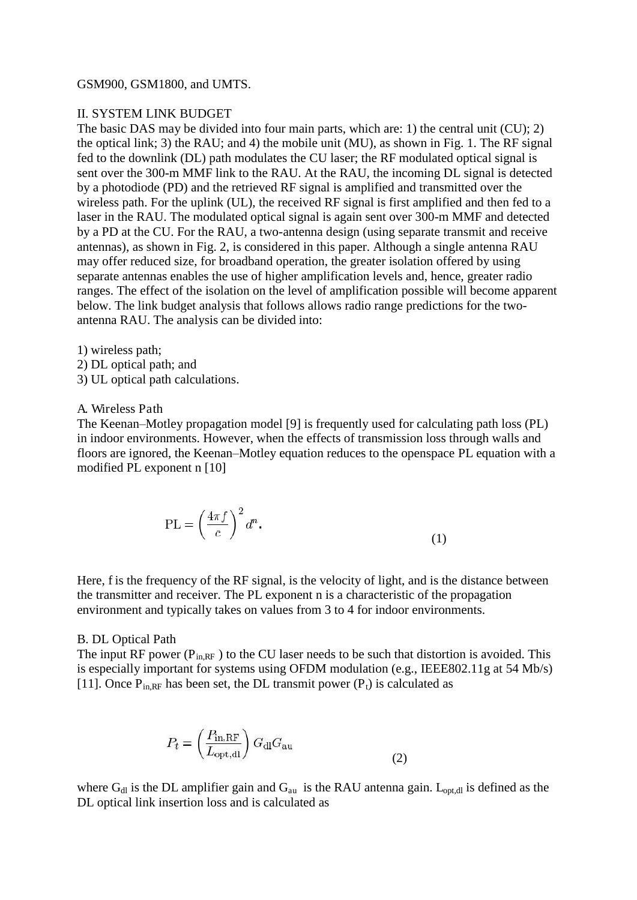#### GSM900, GSM1800, and UMTS.

#### II. SYSTEM LINK BUDGET

The basic DAS may be divided into four main parts, which are: 1) the central unit (CU); 2) the optical link; 3) the RAU; and 4) the mobile unit (MU), as shown in Fig. 1. The RF signal fed to the downlink (DL) path modulates the CU laser; the RF modulated optical signal is sent over the 300-m MMF link to the RAU. At the RAU, the incoming DL signal is detected by a photodiode (PD) and the retrieved RF signal is amplified and transmitted over the wireless path. For the uplink (UL), the received RF signal is first amplified and then fed to a laser in the RAU. The modulated optical signal is again sent over 300-m MMF and detected by a PD at the CU. For the RAU, a two-antenna design (using separate transmit and receive antennas), as shown in Fig. 2, is considered in this paper. Although a single antenna RAU may offer reduced size, for broadband operation, the greater isolation offered by using separate antennas enables the use of higher amplification levels and, hence, greater radio ranges. The effect of the isolation on the level of amplification possible will become apparent below. The link budget analysis that follows allows radio range predictions for the twoantenna RAU. The analysis can be divided into:

1) wireless path;

- 2) DL optical path; and
- 3) UL optical path calculations.

#### A. Wireless Path

The Keenan–Motley propagation model [9] is frequently used for calculating path loss (PL) in indoor environments. However, when the effects of transmission loss through walls and floors are ignored, the Keenan–Motley equation reduces to the openspace PL equation with a modified PL exponent n [10]

$$
PL = \left(\frac{4\pi f}{c}\right)^2 d^n.
$$
\n(1)

Here, f is the frequency of the RF signal, is the velocity of light, and is the distance between the transmitter and receiver. The PL exponent n is a characteristic of the propagation environment and typically takes on values from 3 to 4 for indoor environments.

#### B. DL Optical Path

The input RF power  $(P_{in,RF})$  to the CU laser needs to be such that distortion is avoided. This is especially important for systems using OFDM modulation (e.g., IEEE802.11g at 54 Mb/s) [11]. Once  $P_{in RF}$  has been set, the DL transmit power  $(P_t)$  is calculated as

$$
P_t = \left(\frac{P_{\text{in,RF}}}{L_{\text{opt,dl}}}\right) G_{\text{dl}} G_{\text{au}}
$$
\n(2)

where  $G_{d}$  is the DL amplifier gain and  $G_{au}$  is the RAU antenna gain. L<sub>opt,dl</sub> is defined as the DL optical link insertion loss and is calculated as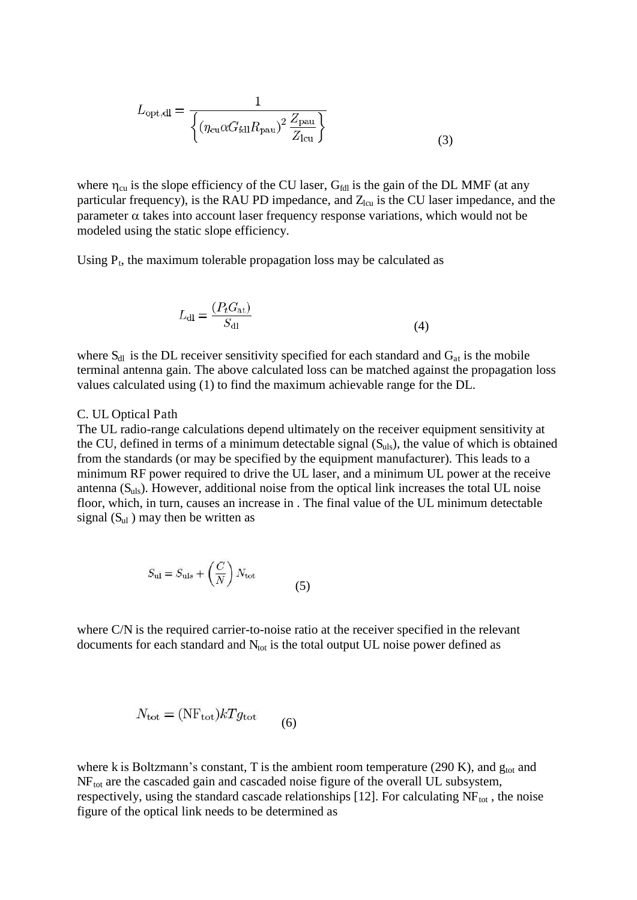$$
L_{\rm opt,dl} = \frac{1}{\left\{ (\eta_{\rm cu} \alpha G_{\rm fall} R_{\rm pau})^2 \frac{Z_{\rm pau}}{Z_{\rm leu}} \right\}}
$$
(3)

where  $\eta_{cu}$  is the slope efficiency of the CU laser, G<sub>fdl</sub> is the gain of the DL MMF (at any particular frequency), is the RAU PD impedance, and  $Z_{\text{lcu}}$  is the CU laser impedance, and the parameter  $\alpha$  takes into account laser frequency response variations, which would not be modeled using the static slope efficiency.

Using  $P_t$ , the maximum tolerable propagation loss may be calculated as

$$
L_{\rm dl} = \frac{(P_t G_{\rm at})}{S_{\rm dl}}\tag{4}
$$

where  $S_{dl}$  is the DL receiver sensitivity specified for each standard and  $G_{at}$  is the mobile terminal antenna gain. The above calculated loss can be matched against the propagation loss values calculated using (1) to find the maximum achievable range for the DL.

#### C. UL Optical Path

The UL radio-range calculations depend ultimately on the receiver equipment sensitivity at the CU, defined in terms of a minimum detectable signal  $(S_{uls})$ , the value of which is obtained from the standards (or may be specified by the equipment manufacturer). This leads to a minimum RF power required to drive the UL laser, and a minimum UL power at the receive antenna  $(S<sub>uls</sub>)$ . However, additional noise from the optical link increases the total UL noise floor, which, in turn, causes an increase in . The final value of the UL minimum detectable signal  $(S<sub>ul</sub>)$  may then be written as

$$
S_{\rm ul} = S_{\rm uls} + \left(\frac{C}{N}\right) N_{\rm tot} \tag{5}
$$

where C/N is the required carrier-to-noise ratio at the receiver specified in the relevant documents for each standard and  $N_{\text{tot}}$  is the total output UL noise power defined as

$$
N_{\text{tot}} = (\text{NF}_{\text{tot}})kTg_{\text{tot}}
$$
 (6)

where k is Boltzmann's constant, T is the ambient room temperature (290 K), and  $g_{\text{tot}}$  and  $NF_{tot}$  are the cascaded gain and cascaded noise figure of the overall UL subsystem, respectively, using the standard cascade relationships [12]. For calculating  $NF_{tot}$ , the noise figure of the optical link needs to be determined as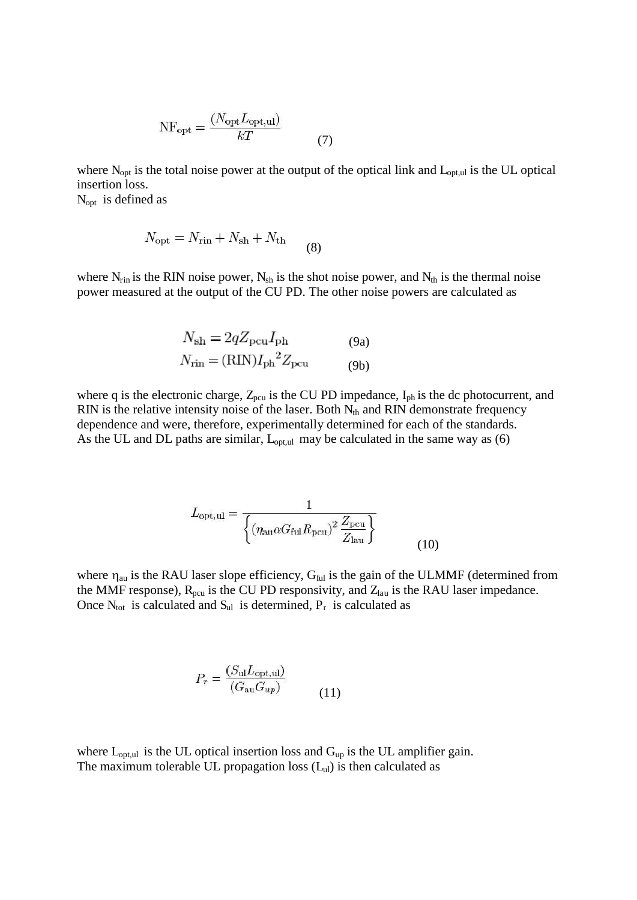$$
NF_{\text{opt}} = \frac{(N_{\text{opt}}L_{\text{opt,ul}})}{kT}
$$
\n(7)

where  $N_{opt}$  is the total noise power at the output of the optical link and  $L_{opt,ul}$  is the UL optical insertion loss.

 $N_{opt}$  is defined as

$$
N_{\rm opt} = N_{\rm rin} + N_{\rm sh} + N_{\rm th}
$$
\n<sup>(8)</sup>

where  $N_{\text{rin}}$  is the RIN noise power,  $N_{\text{sh}}$  is the shot noise power, and  $N_{\text{th}}$  is the thermal noise power measured at the output of the CU PD. The other noise powers are calculated as

$$
N_{\rm sh} = 2qZ_{\rm pcu}I_{\rm ph}
$$
 (9a)  

$$
N_{\rm rin} = (\rm RIN)I_{\rm ph}{}^2 Z_{\rm pcu}
$$
 (9b)

where q is the electronic charge,  $Z_{pcu}$  is the CU PD impedance,  $I_{ph}$  is the dc photocurrent, and RIN is the relative intensity noise of the laser. Both  $N_{th}$  and RIN demonstrate frequency dependence and were, therefore, experimentally determined for each of the standards. As the UL and DL paths are similar,  $L_{\text{opt,ul}}$  may be calculated in the same way as (6)

$$
L_{\rm opt,ul} = \frac{1}{\left\{ (\eta_{\rm au} \alpha G_{\rm ful} R_{\rm pcu})^2 \frac{Z_{\rm pcu}}{Z_{\rm lau}} \right\}}
$$
(10)

where  $\eta_{au}$  is the RAU laser slope efficiency,  $G_{ful}$  is the gain of the ULMMF (determined from the MMF response),  $R_{pcu}$  is the CU PD responsivity, and  $Z_{lau}$  is the RAU laser impedance. Once  $N_{\text{tot}}$  is calculated and  $S_{\text{ul}}$  is determined,  $P_r$  is calculated as

$$
P_r = \frac{(S_{\rm ul} L_{\rm opt,ul})}{(G_{\rm au} G_{up})} \tag{11}
$$

where  $L_{opt,ul}$  is the UL optical insertion loss and  $G_{up}$  is the UL amplifier gain. The maximum tolerable UL propagation loss  $(L<sub>ul</sub>)$  is then calculated as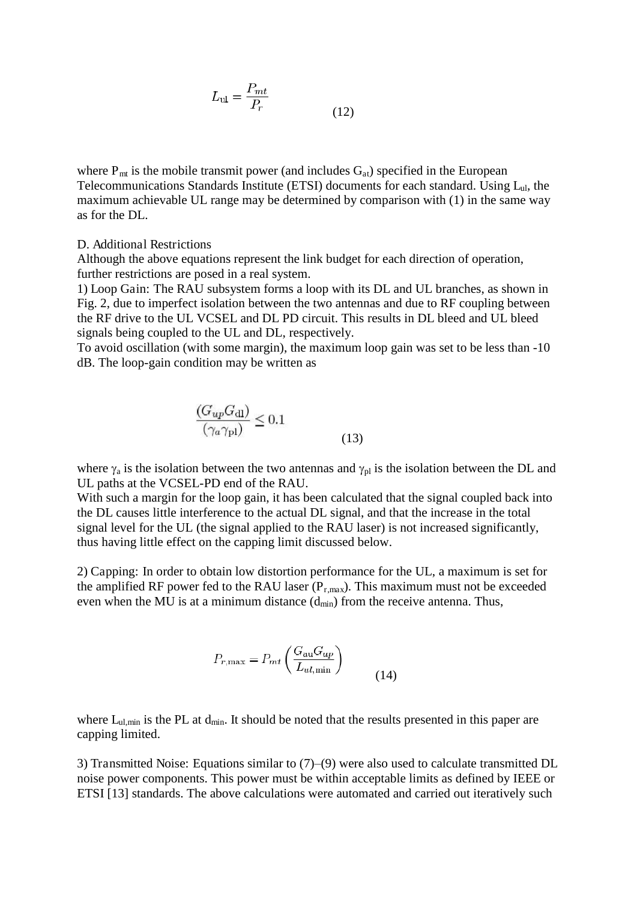$$
L_{\rm ul} = \frac{P_{\rm mt}}{P_r} \tag{12}
$$

where  $P_{mt}$  is the mobile transmit power (and includes  $G_{at}$ ) specified in the European Telecommunications Standards Institute (ETSI) documents for each standard. Using Lul, the maximum achievable UL range may be determined by comparison with (1) in the same way as for the DL.

#### D. Additional Restrictions

Although the above equations represent the link budget for each direction of operation, further restrictions are posed in a real system.

1) Loop Gain: The RAU subsystem forms a loop with its DL and UL branches, as shown in Fig. 2, due to imperfect isolation between the two antennas and due to RF coupling between the RF drive to the UL VCSEL and DL PD circuit. This results in DL bleed and UL bleed signals being coupled to the UL and DL, respectively.

To avoid oscillation (with some margin), the maximum loop gain was set to be less than -10 dB. The loop-gain condition may be written as

$$
\frac{(G_{up}G_{\rm dl})}{(\gamma_a \gamma_{\rm pl})} \le 0.1\tag{13}
$$

where  $\gamma_a$  is the isolation between the two antennas and  $\gamma_{pl}$  is the isolation between the DL and UL paths at the VCSEL-PD end of the RAU.

With such a margin for the loop gain, it has been calculated that the signal coupled back into the DL causes little interference to the actual DL signal, and that the increase in the total signal level for the UL (the signal applied to the RAU laser) is not increased significantly, thus having little effect on the capping limit discussed below.

2) Capping: In order to obtain low distortion performance for the UL, a maximum is set for the amplified RF power fed to the RAU laser  $(P_{r,max})$ . This maximum must not be exceeded even when the MU is at a minimum distance  $(d_{min})$  from the receive antenna. Thus,

$$
P_{r,\max} = P_{mt} \left( \frac{G_{\text{au}} G_{up}}{L_{ul,\min}} \right)
$$
(14)

where  $L_{ul,min}$  is the PL at  $d_{min}$ . It should be noted that the results presented in this paper are capping limited.

3) Transmitted Noise: Equations similar to (7)–(9) were also used to calculate transmitted DL noise power components. This power must be within acceptable limits as defined by IEEE or ETSI [13] standards. The above calculations were automated and carried out iteratively such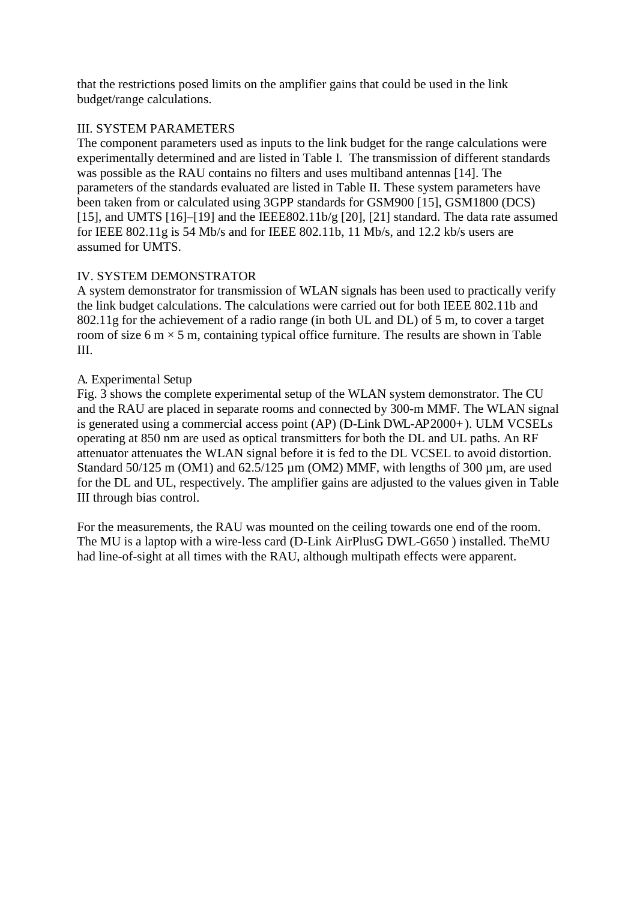that the restrictions posed limits on the amplifier gains that could be used in the link budget/range calculations.

# III. SYSTEM PARAMETERS

The component parameters used as inputs to the link budget for the range calculations were experimentally determined and are listed in Table I. The transmission of different standards was possible as the RAU contains no filters and uses multiband antennas [14]. The parameters of the standards evaluated are listed in Table II. These system parameters have been taken from or calculated using 3GPP standards for GSM900 [15], GSM1800 (DCS) [15], and UMTS [16]–[19] and the IEEE802.11b/g [20], [21] standard. The data rate assumed for IEEE 802.11g is 54 Mb/s and for IEEE 802.11b, 11 Mb/s, and 12.2 kb/s users are assumed for UMTS.

# IV. SYSTEM DEMONSTRATOR

A system demonstrator for transmission of WLAN signals has been used to practically verify the link budget calculations. The calculations were carried out for both IEEE 802.11b and 802.11g for the achievement of a radio range (in both UL and DL) of 5 m, to cover a target room of size 6 m  $\times$  5 m, containing typical office furniture. The results are shown in Table III.

# A. Experimental Setup

Fig. 3 shows the complete experimental setup of the WLAN system demonstrator. The CU and the RAU are placed in separate rooms and connected by 300-m MMF. The WLAN signal is generated using a commercial access point (AP) (D-Link DWL-AP2000+). ULM VCSELs operating at 850 nm are used as optical transmitters for both the DL and UL paths. An RF attenuator attenuates the WLAN signal before it is fed to the DL VCSEL to avoid distortion. Standard 50/125 m (OM1) and 62.5/125  $\mu$ m (OM2) MMF, with lengths of 300  $\mu$ m, are used for the DL and UL, respectively. The amplifier gains are adjusted to the values given in Table III through bias control.

For the measurements, the RAU was mounted on the ceiling towards one end of the room. The MU is a laptop with a wire-less card (D-Link AirPlusG DWL-G650 ) installed. TheMU had line-of-sight at all times with the RAU, although multipath effects were apparent.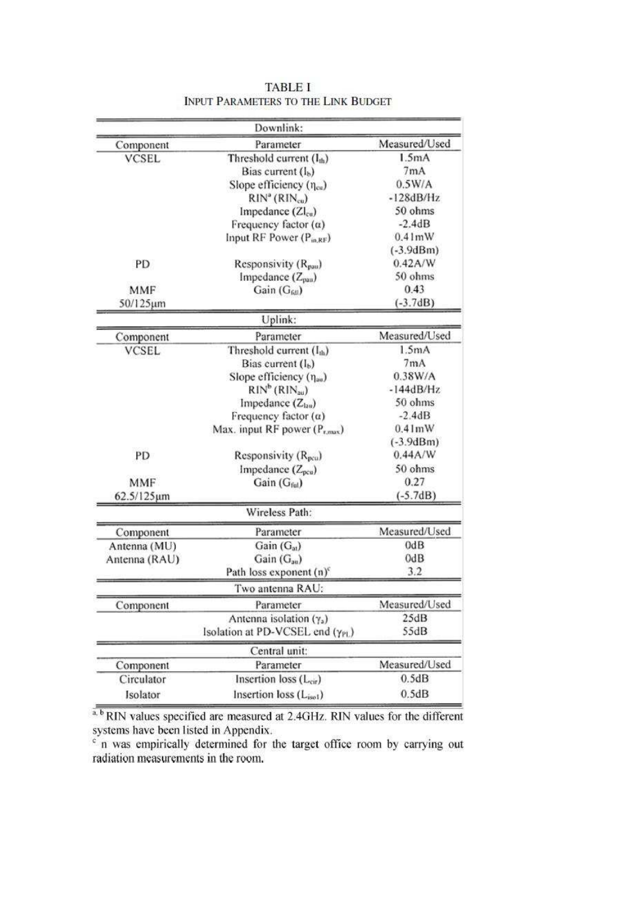|               | Downlink:                         |               |  |  |
|---------------|-----------------------------------|---------------|--|--|
| Component     | Parameter                         | Measured/Used |  |  |
| <b>VCSEL</b>  | Threshold current $(I_{th})$      | 1.5mA         |  |  |
|               | Bias current $(l_b)$              | 7mA           |  |  |
|               | Slope efficiency $(\eta_{cu})$    | 0.5W/A        |  |  |
|               | $RIN^a(RIN_{cu})$                 | $-128dB/Hz$   |  |  |
|               | Impedance $(ZI_{cu})$             | 50 ohms       |  |  |
|               | Frequency factor $(\alpha)$       | $-2.4dB$      |  |  |
|               | Input RF Power $(P_{mRF})$        | 0.41mW        |  |  |
|               |                                   | $(-3.9dBm)$   |  |  |
| PD            | Responsivity $(R_{\text{pass}})$  | 0.42A/W       |  |  |
|               | Impedance (Zpau)                  | 50 ohms       |  |  |
| <b>MMF</b>    | Gain (G <sub>60</sub> )           | 0.43          |  |  |
| 50/125µm      |                                   | $(-3.7dB)$    |  |  |
|               | Uplink:                           |               |  |  |
| Component     | Parameter                         | Measured/Used |  |  |
| <b>VCSEL</b>  | Threshold current $(I_{th})$      | 1.5mA         |  |  |
|               | Bias current $(I_b)$              | 7mA           |  |  |
|               | Slope efficiency $(\eta_{av})$    | 0.38W/A       |  |  |
|               | $RIN^b(RIN_{\text{au}})$          | $-144dB/Hz$   |  |  |
|               | Impedance $(Z_{\text{low}})$      | 50 ohms       |  |  |
|               | Frequency factor $(a)$            | $-2.4dB$      |  |  |
|               | Max. input RF power $(P_{r,max})$ | 0.41mW        |  |  |
|               |                                   | $(-3.9dBm)$   |  |  |
| PD            | Responsivity (R <sub>pcu</sub> )  | 0.44A/W       |  |  |
|               | Impedance (Z <sub>pcu</sub> )     | 50 ohms       |  |  |
| <b>MMF</b>    | Gain $(G_{\text{ful}})$           | 0.27          |  |  |
| 62.5/125µm    |                                   | $(-5.7dB)$    |  |  |
|               | Wireless Path:                    |               |  |  |
| Component     | Parameter                         | Measured/Used |  |  |
| Antenna (MU)  | Gain $(G_{at})$                   | 0dB           |  |  |
| Antenna (RAU) | Gain $(G_{av})$                   | 0dB           |  |  |
|               | Path loss exponent $(n)^c$        | 3.2           |  |  |
|               | Two antenna RAU:                  |               |  |  |
| Component     | Parameter                         | Measured/Used |  |  |
|               | Antenna isolation $(\gamma_a)$    | 25dB          |  |  |
|               | Isolation at PD-VCSEL end (YPL)   | 55dB          |  |  |
|               | Central unit:                     |               |  |  |
| Component     | Parameter                         | Measured/Used |  |  |
| Circulator    | Insertion loss $(L_{\rm cir})$    |               |  |  |
| Isolator      | Insertion loss (Liso1)            | 0.5dB         |  |  |

**TABLE I** INPUT PARAMETERS TO THE LINK BUDGET

a. **b** RIN values specified are measured at 2.4GHz. RIN values for the different systems have been listed in Appendix.<br>
in was empirically determined for the target office room by carrying out

radiation measurements in the room.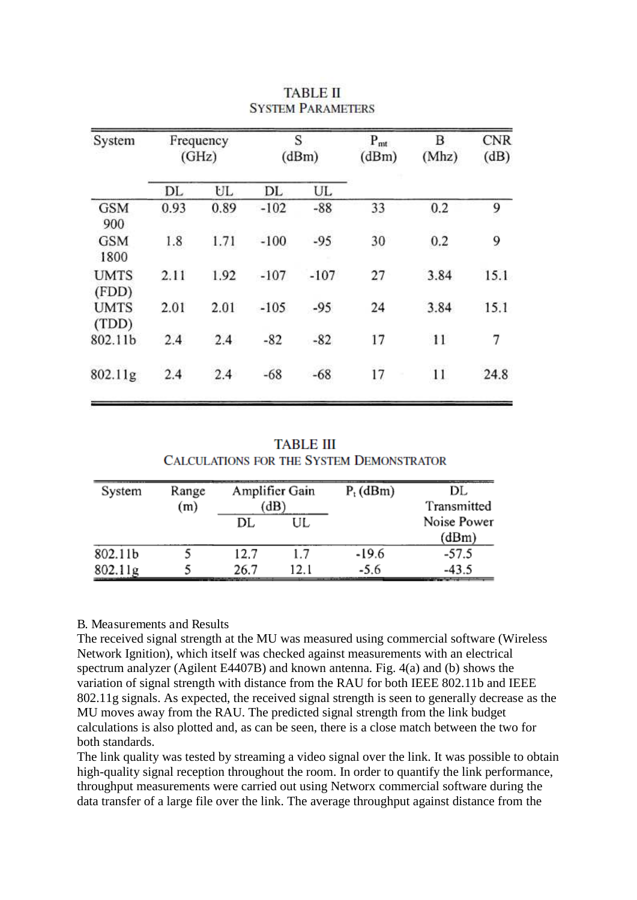| Frequency<br>(GHz) |      | S<br>(dBm) |        | $P_{mt}$<br>(dBm) | В<br>(Mhz) | <b>CNR</b><br>(dB) |
|--------------------|------|------------|--------|-------------------|------------|--------------------|
| DL                 | UL   | DL         | UL.    |                   |            |                    |
| 0.93               | 0.89 | $-102$     | $-88$  | 33                | 0.2        | 9                  |
| 1.8                | 1.71 | $-100$     | $-95$  | 30                | 0.2        | 9                  |
| 2.11               | 1.92 | $-107$     | $-107$ | 27                | 3.84       | 15.1               |
| 2.01               | 2.01 | $-105$     | $-95$  | 24                | 3.84       | 15.1               |
| 2.4                | 2.4  | $-82$      | $-82$  | 17                | 11         | 7                  |
| 2.4                | 2.4  | $-68$      | $-68$  | 17                | 11         | 24.8               |
|                    |      |            |        |                   |            |                    |

# **TABLE II SYSTEM PARAMETERS**

**TABLE III CALCULATIONS FOR THE SYSTEM DEMONSTRATOR** 

| System  | Range<br>(m) | Amplifier Gain<br>dB |             | $P_t$ (dBm) | DL.<br>Transmitted   |
|---------|--------------|----------------------|-------------|-------------|----------------------|
|         |              | DL                   | UL          |             | Noise Power<br>(dBm) |
| 802.11b |              | 12.7                 | 1.7         | $-19.6$     | $-57.5$              |
| 802.11g |              | 26.7                 | 12.1<br>Lu. | $-5.6$      | $-43.5$              |

## B. Measurements and Results

The received signal strength at the MU was measured using commercial software (Wireless Network Ignition), which itself was checked against measurements with an electrical spectrum analyzer (Agilent E4407B) and known antenna. Fig. 4(a) and (b) shows the variation of signal strength with distance from the RAU for both IEEE 802.11b and IEEE 802.11g signals. As expected, the received signal strength is seen to generally decrease as the MU moves away from the RAU. The predicted signal strength from the link budget calculations is also plotted and, as can be seen, there is a close match between the two for both standards.

The link quality was tested by streaming a video signal over the link. It was possible to obtain high-quality signal reception throughout the room. In order to quantify the link performance, throughput measurements were carried out using Networx commercial software during the data transfer of a large file over the link. The average throughput against distance from the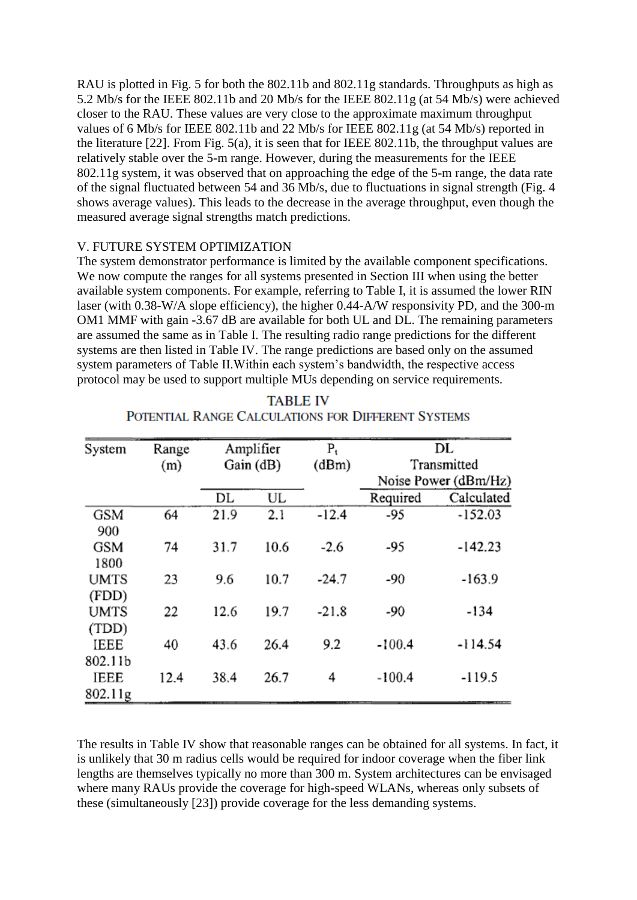RAU is plotted in Fig. 5 for both the 802.11b and 802.11g standards. Throughputs as high as 5.2 Mb/s for the IEEE 802.11b and 20 Mb/s for the IEEE 802.11g (at 54 Mb/s) were achieved closer to the RAU. These values are very close to the approximate maximum throughput values of 6 Mb/s for IEEE 802.11b and 22 Mb/s for IEEE 802.11g (at 54 Mb/s) reported in the literature [22]. From Fig. 5(a), it is seen that for IEEE 802.11b, the throughput values are relatively stable over the 5-m range. However, during the measurements for the IEEE 802.11g system, it was observed that on approaching the edge of the 5-m range, the data rate of the signal fluctuated between 54 and 36 Mb/s, due to fluctuations in signal strength (Fig. 4 shows average values). This leads to the decrease in the average throughput, even though the measured average signal strengths match predictions.

# V. FUTURE SYSTEM OPTIMIZATION

The system demonstrator performance is limited by the available component specifications. We now compute the ranges for all systems presented in Section III when using the better available system components. For example, referring to Table I, it is assumed the lower RIN laser (with 0.38-W/A slope efficiency), the higher 0.44-A/W responsivity PD, and the 300-m OM1 MMF with gain -3.67 dB are available for both UL and DL. The remaining parameters are assumed the same as in Table I. The resulting radio range predictions for the different systems are then listed in Table IV. The range predictions are based only on the assumed system parameters of Table II.Within each system's bandwidth, the respective access protocol may be used to support multiple MUs depending on service requirements.

| System      | Range | Amplifier |      | $P_t$   |                      | DL         |
|-------------|-------|-----------|------|---------|----------------------|------------|
|             | (m)   | Gain (dB) |      | (dBm)   | Transmitted          |            |
|             |       |           |      |         | Noise Power (dBm/Hz) |            |
|             |       | DL        | UL   |         | Required             | Calculated |
| GSM         | 64    | 21.9      | 2.1  | $-12.4$ | -95                  | $-152.03$  |
| 900         |       |           |      |         |                      |            |
| <b>GSM</b>  | 74    | 31.7      | 10.6 | $-2.6$  | -95                  | $-142.23$  |
| 1800        |       |           |      |         |                      |            |
| <b>UMTS</b> | 23    | 9.6       | 10.7 | $-24.7$ | $-90$                | $-163.9$   |
| (FDD)       |       |           |      |         |                      |            |
| <b>UMTS</b> | 22    | 12.6      | 19.7 | $-21.8$ | -90                  | $-134$     |
| (TDD)       |       |           |      |         |                      |            |
| IEEE        | 40    | 43.6      | 26.4 | 9.2     | $-100.4$             | $-114.54$  |
| 802.11b     |       |           |      |         |                      |            |
| IEEE        | 12.4  | 38.4      | 26.7 | 4       | $-100.4$             | $-119.5$   |
| 802.11g     |       |           |      |         |                      |            |

# **TABLE IV** POTENTIAL RANGE CALCULATIONS FOR DIFFERENT SYSTEMS

The results in Table IV show that reasonable ranges can be obtained for all systems. In fact, it is unlikely that 30 m radius cells would be required for indoor coverage when the fiber link lengths are themselves typically no more than 300 m. System architectures can be envisaged where many RAUs provide the coverage for high-speed WLANs, whereas only subsets of these (simultaneously [23]) provide coverage for the less demanding systems.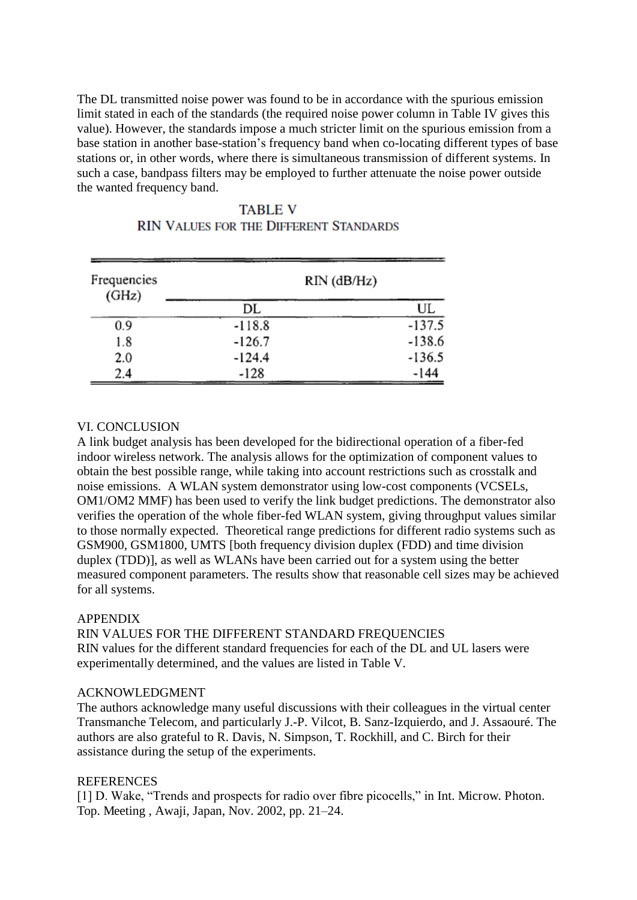The DL transmitted noise power was found to be in accordance with the spurious emission limit stated in each of the standards (the required noise power column in Table IV gives this value). However, the standards impose a much stricter limit on the spurious emission from a base station in another base-station's frequency band when co-locating different types of base stations or, in other words, where there is simultaneous transmission of different systems. In such a case, bandpass filters may be employed to further attenuate the noise power outside the wanted frequency band.

| Frequencies<br>(GHz) | $RIN$ ( $dB/Hz$ ) |          |  |  |
|----------------------|-------------------|----------|--|--|
|                      | DL                | UL       |  |  |
| 0.9                  | $-118.8$          | $-137.5$ |  |  |
| 1.8                  | $-126.7$          | $-138.6$ |  |  |
| 2.0                  | $-124.4$          | $-136.5$ |  |  |
| 2.4                  | $-128$            | $-144$   |  |  |

# **TABLE V RIN VALUES FOR THE DIFFERENT STANDARDS**

# VI. CONCLUSION

A link budget analysis has been developed for the bidirectional operation of a fiber-fed indoor wireless network. The analysis allows for the optimization of component values to obtain the best possible range, while taking into account restrictions such as crosstalk and noise emissions. A WLAN system demonstrator using low-cost components (VCSELs, OM1/OM2 MMF) has been used to verify the link budget predictions. The demonstrator also verifies the operation of the whole fiber-fed WLAN system, giving throughput values similar to those normally expected. Theoretical range predictions for different radio systems such as GSM900, GSM1800, UMTS [both frequency division duplex (FDD) and time division duplex (TDD)], as well as WLANs have been carried out for a system using the better measured component parameters. The results show that reasonable cell sizes may be achieved for all systems.

## APPENDIX

RIN VALUES FOR THE DIFFERENT STANDARD FREQUENCIES RIN values for the different standard frequencies for each of the DL and UL lasers were experimentally determined, and the values are listed in Table V.

## ACKNOWLEDGMENT

The authors acknowledge many useful discussions with their colleagues in the virtual center Transmanche Telecom, and particularly J.-P. Vilcot, B. Sanz-Izquierdo, and J. Assaouré. The authors are also grateful to R. Davis, N. Simpson, T. Rockhill, and C. Birch for their assistance during the setup of the experiments.

## **REFERENCES**

[1] D. Wake, "Trends and prospects for radio over fibre picocells," in Int. Microw. Photon. Top. Meeting , Awaji, Japan, Nov. 2002, pp. 21–24.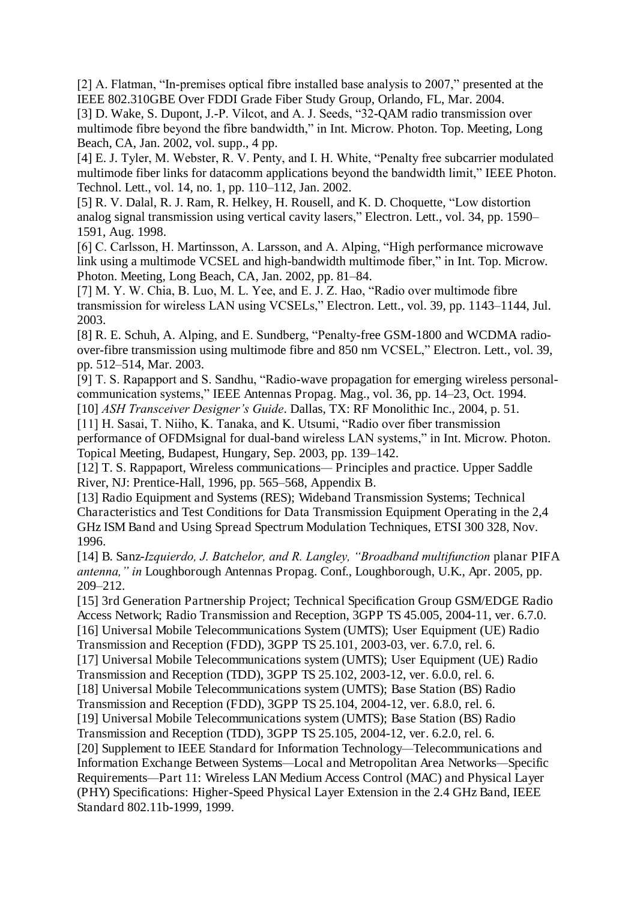[2] A. Flatman, "In-premises optical fibre installed base analysis to 2007," presented at the IEEE 802.310GBE Over FDDI Grade Fiber Study Group, Orlando, FL, Mar. 2004.

[3] D. Wake, S. Dupont, J.-P. Vilcot, and A. J. Seeds, "32-QAM radio transmission over multimode fibre beyond the fibre bandwidth," in Int. Microw. Photon. Top. Meeting, Long Beach, CA, Jan. 2002, vol. supp., 4 pp.

[4] E. J. Tyler, M. Webster, R. V. Penty, and I. H. White, "Penalty free subcarrier modulated multimode fiber links for datacomm applications beyond the bandwidth limit," IEEE Photon. Technol. Lett., vol. 14, no. 1, pp. 110–112, Jan. 2002.

[5] R. V. Dalal, R. J. Ram, R. Helkey, H. Rousell, and K. D. Choquette, "Low distortion analog signal transmission using vertical cavity lasers," Electron. Lett., vol. 34, pp. 1590– 1591, Aug. 1998.

[6] C. Carlsson, H. Martinsson, A. Larsson, and A. Alping, "High performance microwave link using a multimode VCSEL and high-bandwidth multimode fiber," in Int. Top. Microw. Photon. Meeting, Long Beach, CA, Jan. 2002, pp. 81–84.

[7] M. Y. W. Chia, B. Luo, M. L. Yee, and E. J. Z. Hao, "Radio over multimode fibre transmission for wireless LAN using VCSELs," Electron. Lett., vol. 39, pp. 1143–1144, Jul. 2003.

[8] R. E. Schuh, A. Alping, and E. Sundberg, "Penalty-free GSM-1800 and WCDMA radioover-fibre transmission using multimode fibre and 850 nm VCSEL," Electron. Lett., vol. 39, pp. 512–514, Mar. 2003.

[9] T. S. Rapapport and S. Sandhu, "Radio-wave propagation for emerging wireless personalcommunication systems," IEEE Antennas Propag. Mag., vol. 36, pp. 14–23, Oct. 1994. [10] *ASH Transceiver Designer's Guide*. Dallas, TX: RF Monolithic Inc., 2004, p. 51.

[11] H. Sasai, T. Niiho, K. Tanaka, and K. Utsumi, "Radio over fiber transmission performance of OFDMsignal for dual-band wireless LAN systems," in Int. Microw. Photon. Topical Meeting, Budapest, Hungary, Sep. 2003, pp. 139–142.

[12] T. S. Rappaport, Wireless communications*—* Principles and practice. Upper Saddle River, NJ: Prentice-Hall, 1996, pp. 565–568, Appendix B.

[13] Radio Equipment and Systems (RES); Wideband Transmission Systems; Technical Characteristics and Test Conditions for Data Transmission Equipment Operating in the 2,4 GHz ISM Band and Using Spread Spectrum Modulation Techniques, ETSI 300 328, Nov. 1996.

[14] B. Sanz-*Izquierdo, J. Batchelor, and R. Langley, "Broadband multifunction* planar PIFA *antenna," in* Loughborough Antennas Propag. Conf., Loughborough, U.K., Apr. 2005, pp. 209*–*212.

[15] 3rd Generation Partnership Project; Technical Specification Group GSM/EDGE Radio Access Network; Radio Transmission and Reception, 3GPP TS 45.005, 2004-11, ver. 6.7.0. [16] Universal Mobile Telecommunications System (UMTS); User Equipment (UE) Radio Transmission and Reception (FDD), 3GPP TS 25.101, 2003-03, ver. 6.7.0, rel. 6. [17] Universal Mobile Telecommunications system (UMTS); User Equipment (UE) Radio Transmission and Reception (TDD), 3GPP TS 25.102, 2003-12, ver. 6.0.0, rel. 6. [18] Universal Mobile Telecommunications system (UMTS); Base Station (BS) Radio Transmission and Reception (FDD), 3GPP TS 25.104, 2004-12, ver. 6.8.0, rel. 6. [19] Universal Mobile Telecommunications system (UMTS); Base Station (BS) Radio Transmission and Reception (TDD), 3GPP TS 25.105, 2004-12, ver. 6.2.0, rel. 6. [20] Supplement to IEEE Standard for Information Technology*—*Telecommunications and Information Exchange Between Systems*—*Local and Metropolitan Area Networks*—*Specific Requirements*—*Part 11: Wireless LAN Medium Access Control (MAC) and Physical Layer (PHY) Specifications: Higher-Speed Physical Layer Extension in the 2.4 GHz Band, IEEE Standard 802.11b-1999, 1999.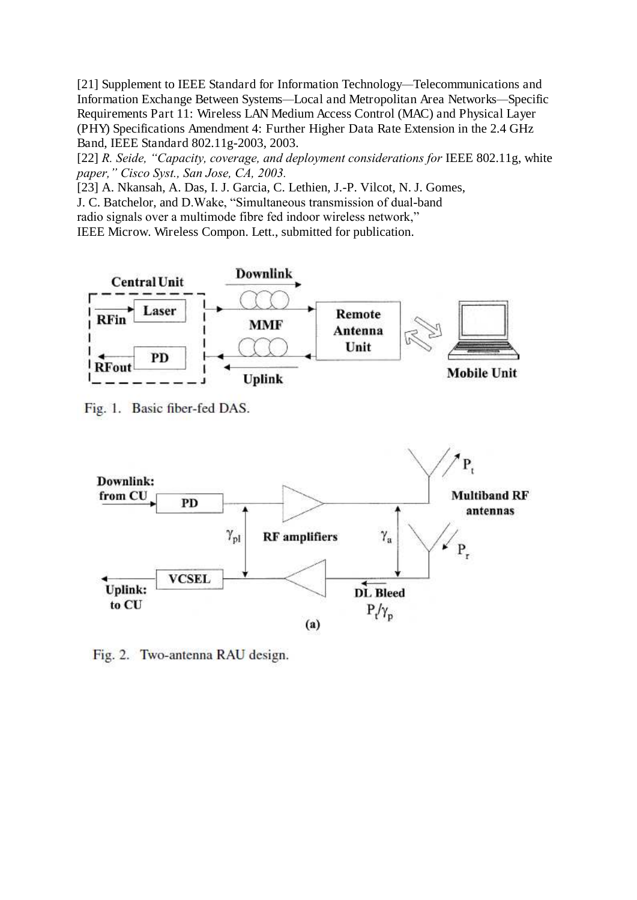[21] Supplement to IEEE Standard for Information Technology*—*Telecommunications and Information Exchange Between Systems*—*Local and Metropolitan Area Networks*—*Specific Requirements Part 11: Wireless LAN Medium Access Control (MAC) and Physical Layer (PHY) Specifications Amendment 4: Further Higher Data Rate Extension in the 2.4 GHz Band, IEEE Standard 802.11g-2003, 2003.

[22] *R. Seide, "Capacity, coverage, and deployment considerations for* IEEE 802.11g, white *paper," Cisco Syst., San Jose, CA, 2003.*

[23] A. Nkansah, A. Das, I. J. Garcia, C. Lethien, J.-P. Vilcot, N. J. Gomes,

J. C. Batchelor, and D.Wake, "Simultaneous transmission of dual-band

radio signals over a multimode fibre fed indoor wireless network,"

IEEE Microw. Wireless Compon. Lett., submitted for publication.



Fig. 1. Basic fiber-fed DAS.



Fig. 2. Two-antenna RAU design.